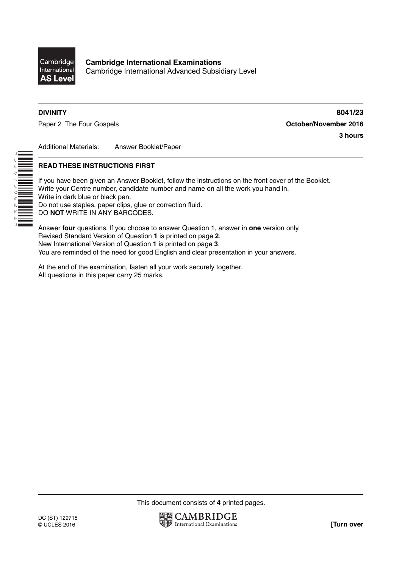

**Cambridge International Examinations** Cambridge International Advanced Subsidiary Level

\*5367308221\*

**DIVINITY 8041/23** Paper 2 The Four Gospels **Contact Act Contact Act Contact Act October/November 2016 3 hours**

Additional Materials: Answer Booklet/Paper

## **READ THESE INSTRUCTIONS FIRST**

If you have been given an Answer Booklet, follow the instructions on the front cover of the Booklet. Write your Centre number, candidate number and name on all the work you hand in. Write in dark blue or black pen. Do not use staples, paper clips, glue or correction fluid. DO **NOT** WRITE IN ANY BARCODES.

Answer **four** questions. If you choose to answer Question 1, answer in **one** version only. Revised Standard Version of Question **1** is printed on page **2**. New International Version of Question **1** is printed on page **3**. You are reminded of the need for good English and clear presentation in your answers.

At the end of the examination, fasten all your work securely together. All questions in this paper carry 25 marks.

This document consists of **4** printed pages.

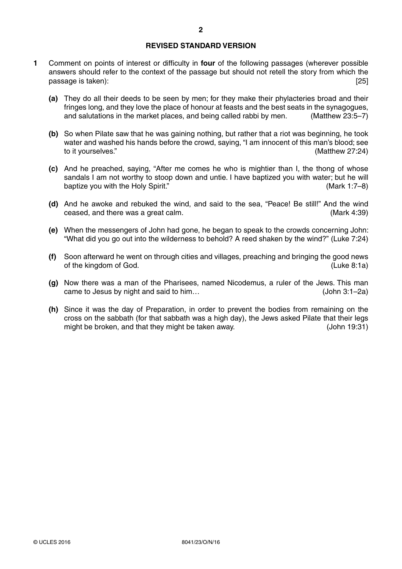## **REVISED STANDARD VERSION**

- **1** Comment on points of interest or difficulty in **four** of the following passages (wherever possible answers should refer to the context of the passage but should not retell the story from which the passage is taken): [25] passage is taken):
	- **(a)** They do all their deeds to be seen by men; for they make their phylacteries broad and their fringes long, and they love the place of honour at feasts and the best seats in the synagogues, and salutations in the market places, and being called rabbi by men. (Matthew 23:5–7)
	- **(b)** So when Pilate saw that he was gaining nothing, but rather that a riot was beginning, he took water and washed his hands before the crowd, saying, "I am innocent of this man's blood; see to it yourselves." (Matthew 27:24)
	- **(c)** And he preached, saying, "After me comes he who is mightier than I, the thong of whose sandals I am not worthy to stoop down and untie. I have baptized you with water; but he will baptize you with the Holy Spirit." (Mark 1:7–8)
	- **(d)** And he awoke and rebuked the wind, and said to the sea, "Peace! Be still!" And the wind ceased, and there was a great calm. (Mark 4:39)
	- **(e)** When the messengers of John had gone, he began to speak to the crowds concerning John: "What did you go out into the wilderness to behold? A reed shaken by the wind?" (Luke 7:24)
	- **(f)** Soon afterward he went on through cities and villages, preaching and bringing the good news of the kingdom of God. (Luke 8:1a)
	- **(g)** Now there was a man of the Pharisees, named Nicodemus, a ruler of the Jews. This man came to Jesus by night and said to him… (John 3:1–2a)
	- **(h)** Since it was the day of Preparation, in order to prevent the bodies from remaining on the cross on the sabbath (for that sabbath was a high day), the Jews asked Pilate that their legs might be broken, and that they might be taken away. (John 19:31)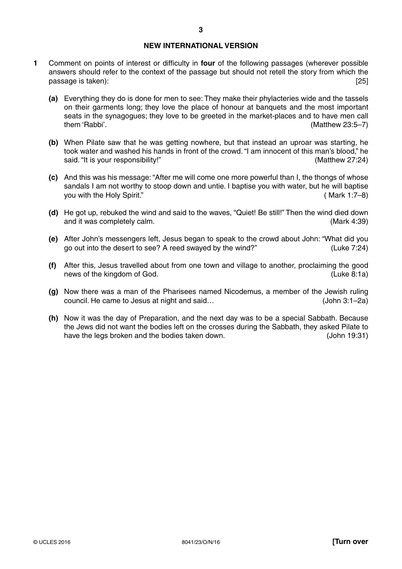## **NEW INTERNATIONAL VERSION**

- **1** Comment on points of interest or difficulty in **four** of the following passages (wherever possible answers should refer to the context of the passage but should not retell the story from which the passage is taken): [25] passage is taken):
	- **(a)** Everything they do is done for men to see: They make their phylacteries wide and the tassels on their garments long; they love the place of honour at banquets and the most important seats in the synagogues; they love to be greeted in the market-places and to have men call them 'Rabbi'. (Matthew 23:5–7)
	- **(b)** When Pilate saw that he was getting nowhere, but that instead an uproar was starting, he took water and washed his hands in front of the crowd. "I am innocent of this man's blood," he said. "It is your responsibility!" (Matthew 27:24)
	- **(c)** And this was his message: "After me will come one more powerful than I, the thongs of whose sandals I am not worthy to stoop down and untie. I baptise you with water, but he will baptise you with the Holy Spirit." ( Mark 1:7–8)
	- **(d)** He got up, rebuked the wind and said to the waves, "Quiet! Be still!" Then the wind died down and it was completely calm. (Mark 4:39)
	- **(e)** After John's messengers left, Jesus began to speak to the crowd about John: "What did you go out into the desert to see? A reed swayed by the wind?" (Luke 7:24)
	- **(f)** After this, Jesus travelled about from one town and village to another, proclaiming the good news of the kingdom of God. (Luke 8:1a)
	- **(g)** Now there was a man of the Pharisees named Nicodemus, a member of the Jewish ruling council. He came to Jesus at night and said… (John 3:1–2a)
	- **(h)** Now it was the day of Preparation, and the next day was to be a special Sabbath. Because the Jews did not want the bodies left on the crosses during the Sabbath, they asked Pilate to have the legs broken and the bodies taken down. (John 19:31)